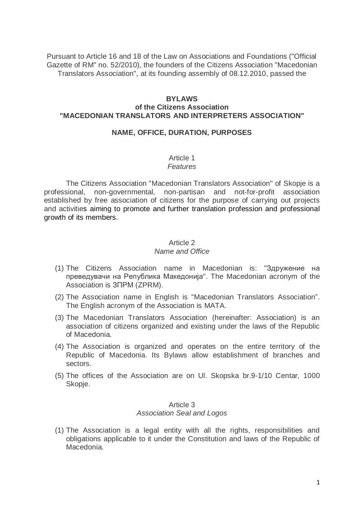Pursuant to Article 16 and 18 of the Law on Associations and Foundations ("Official Gazette of RM" no. 52/2010), the founders of the Citizens Association "Macedonian Translators Association", at its founding assembly of 08.12.2010, passed the

#### **BYLAWS**

#### **of the Citizens Association "MACEDONIAN TRANSLATORS AND INTERPRETERS ASSOCIATION"**

#### **NAME, OFFICE, DURATION, PURPOSES**

#### Article 1 *Features*

The Citizens Association "Macedonian Translators Association" of Skopje is a professional, non-governmental, non-partisan and not-for-profit association established by free association of citizens for the purpose of carrying out projects and activities aiming to promote and further translation profession and professional growth of its members.

### Article 2

#### *Name and Office*

- (1) The Citizens Association name in Macedonian is: "Здружение на преведувачи на Република Македонија". The Macedonian acronym of the Association is ЗПРМ (ZPRM).
- (2) The Association name in English is "Macedonian Translators Association". The English acronym of the Association is MATA.
- (3) The Macedonian Translators Association (hereinafter: Association) is an association of citizens organized and existing under the laws of the Republic of Macedonia.
- (4) The Association is organized and operates on the entire territory of the Republic of Macedonia. Its Bylaws allow establishment of branches and sectors.
- (5) The offices of the Association are on Ul. Skopska br.9-1/10 Centar, 1000 Skopje.

#### Article 3 *Association Seal and Logos*

(1) The Association is a legal entity with all the rights, responsibilities and obligations applicable to it under the Constitution and laws of the Republic of Macedonia.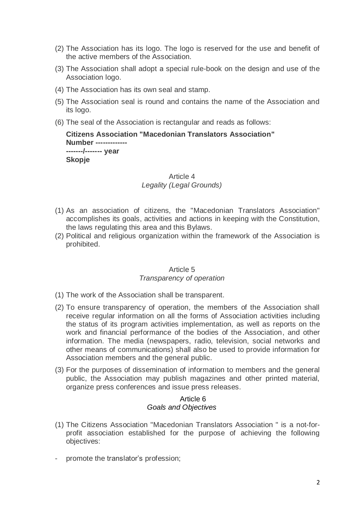- (2) The Association has its logo. The logo is reserved for the use and benefit of the active members of the Association.
- (3) The Association shall adopt а special rule-book on the design and use of the Association logo.
- (4) The Association has its own seal and stamp.
- (5) The Association seal is round and contains the name of the Association and its logo.
- (6) The seal of the Association is rectangular and reads as follows:

**Citizens Association "Macedonian Translators Association" Number ------------- -------/------- year Skopje**

#### Article 4 *Legality (Legal Grounds)*

- (1) As an association of citizens, the "Macedonian Translators Association" accomplishes its goals, activities and actions in keeping with the Constitution, the laws regulating this area and this Bylaws.
- (2) Political and religious organization within the framework of the Association is prohibited.

#### Article 5 *Transparency of operation*

- (1) The work of the Association shall be transparent.
- (2) To ensure transparency of operation, the members of the Association shall receive regular information on all the forms of Association activities including the status of its program activities implementation, as well as reports on the work and financial performance of the bodies of the Association, and other information. The media (newspapers, radio, television, social networks and other means of communications) shall also be used to provide information for Association members and the general public.
- (3) For the purposes of dissemination of information to members and the general public, the Association may publish magazines and other printed material, organize press conferences and issue press releases.

#### Article 6 *Goals and Objectives*

- (1) The Citizens Association "Macedonian Translators Association " is a not-forprofit association established for the purpose of achieving the following objectives:
- promote the translator's profession;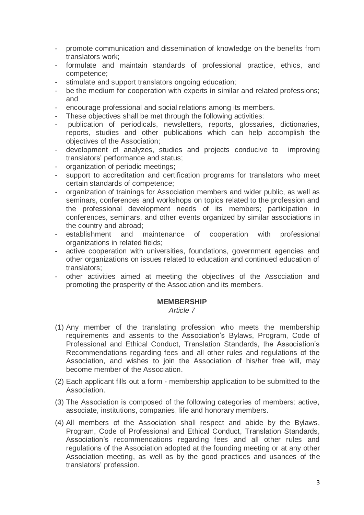- promote communication and dissemination of knowledge on the benefits from translators work;
- formulate and maintain standards of professional practice, ethics, and competence;
- stimulate and support translators ongoing education;
- be the medium for cooperation with experts in similar and related professions; and
- encourage professional and social relations among its members.
- These objectives shall be met through the following activities:
- publication of periodicals, newsletters, reports, glossaries, dictionaries, reports, studies and other publications which can help accomplish the objectives of the Association;
- development of analyzes, studies and projects conducive to improving translators' performance and status;
- organization of periodic meetings;
- support to accreditation and certification programs for translators who meet certain standards of competence;
- organization of trainings for Association members and wider public, as well as seminars, conferences and workshops on topics related to the profession and the professional development needs of its members; participation in conferences, seminars, and other events organized by similar associations in the country and abroad;
- establishment and maintenance of cooperation with professional organizations in related fields;
- active cooperation with universities, foundations, government agencies and other organizations on issues related to education and continued education of translators;
- other activities aimed at meeting the objectives of the Association and promoting the prosperity of the Association and its members.

#### **MEMBERSHIP**

*Article 7*

- (1) Any member of the translating profession who meets the membership requirements and assents to the Association's Bylaws, Program, Code of Professional and Ethical Conduct, Translation Standards, the Association's Recommendations regarding fees and all other rules and regulations of the Association, and wishes to join the Association of his/her free will, may become member of the Association.
- (2) Each applicant fills out a form membership application to be submitted to the Association.
- (3) The Association is composed of the following categories of members: active, associate, institutions, companies, life and honorary members.
- (4) All members of the Association shall respect and abide by the Bylaws, Program, Code of Professional and Ethical Conduct, Translation Standards, Association's recommendations regarding fees and all other rules and regulations of the Association adopted at the founding meeting or at any other Association meeting, as well as by the good practices and usances of the translators' profession.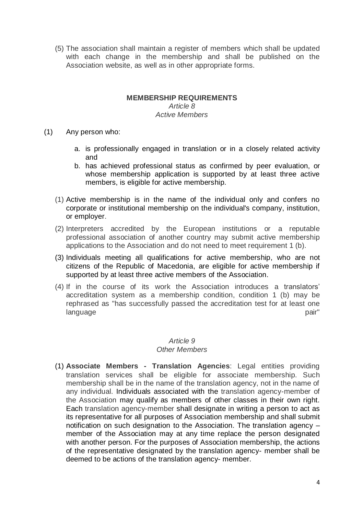(5) The association shall maintain a register of members which shall be updated with each change in the membership and shall be published on the Association website, as well as in other appropriate forms.

#### **MEMBERSHIP REQUIREMENTS**

### *Article 8 Active Members*

- (1) Any person who:
	- a. is professionally engaged in translation or in a closely related activity and
	- b. has achieved professional status as confirmed by peer evaluation, or whose membership application is supported by at least three active members, is eligible for active membership.
	- (1) Active membership is in the name of the individual only and confers no corporate or institutional membership on the individual's company, institution, or employer.
	- (2) Interpreters accredited by the European institutions or a reputable professional association of another country may submit active membership applications to the Association and do not need to meet requirement 1 (b).
	- (3) Individuals meeting all qualifications for active membership, who are not citizens of the Republic of Macedonia, are eligible for active membership if supported by at least three active members of the Association.
	- (4) If in the course of its work the Association introduces a translators' accreditation system as a membership condition, condition 1 (b) may be rephrased as "has successfully passed the accreditation test for at least one language pair"

### *Article 9*

### *Other Members*

(1) **Associate Members - Translation Agencies**: Legal entities providing translation services shall be eligible for associate membership. Such membership shall be in the name of the translation agency, not in the name of any individual. Individuals associated with the translation agency-member of the Association may qualify as members of other classes in their own right. Each translation agency-member shall designate in writing a person to act as its representative for all purposes of Association membership and shall submit notification on such designation to the Association. The translation agency – member of the Association may at any time replace the person designated with another person. For the purposes of Association membership, the actions of the representative designated by the translation agency- member shall be deemed to be actions of the translation agency- member.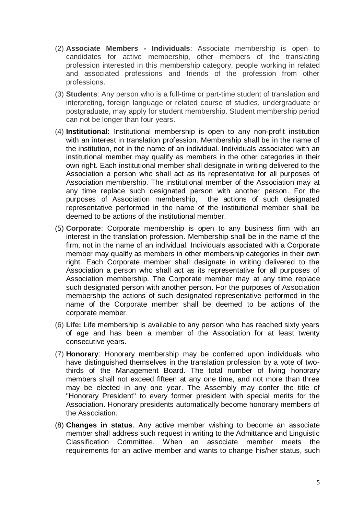- (2) **Associate Members - Individuals**: Associate membership is open to candidates for active membership, other members of the translating profession interested in this membership category, people working in related and associated professions and friends of the profession from other professions.
- (3) **Students**: Any person who is a full-time or part-time student of translation and interpreting, foreign language or related course of studies, undergraduate or postgraduate, may apply for student membership. Student membership period can not be longer than four years.
- (4) **Institutional:** Institutional membership is open to any non-profit institution with an interest in translation profession. Membership shall be in the name of the institution, not in the name of an individual. Individuals associated with an institutional member may qualify as members in the other categories in their own right. Each institutional member shall designate in writing delivered to the Association a person who shall act as its representative for all purposes of Association membership. The institutional member of the Association may at any time replace such designated person with another person. For the purposes of Association membership, the actions of such designated representative performed in the name of the institutional member shall be deemed to be actions of the institutional member.
- (5) **Corporate**: Corporate membership is open to any business firm with an interest in the translation profession. Membership shall be in the name of the firm, not in the name of an individual. Individuals associated with a Corporate member may qualify as members in other membership categories in their own right. Each Corporate member shall designate in writing delivered to the Association a person who shall act as its representative for all purposes of Association membership. The Corporate member may at any time replace such designated person with another person. For the purposes of Association membership the actions of such designated representative performed in the name of the Corporate member shall be deemed to be actions of the corporate member.
- (6) **Life:** Life membership is available to any person who has reached sixty years of age and has been a member of the Association for at least twenty consecutive years.
- (7) **Honorary**: Honorary membership may be conferred upon individuals who have distinguished themselves in the translation profession by a vote of twothirds of the Management Board. The total number of living honorary members shall not exceed fifteen at any one time, and not more than three may be elected in any one year. The Assembly may confer the title of "Honorary President" to every former president with special merits for the Association. Honorary presidents automatically become honorary members of the Association.
- (8) **Changes in status**. Any active member wishing to become an associate member shall address such request in writing to the Admittance and Linguistic Classification Committee. When an associate member meets the requirements for an active member and wants to change his/her status, such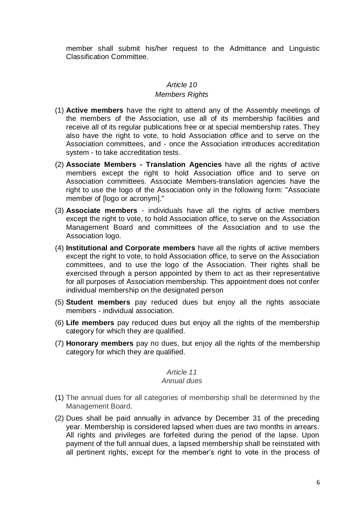member shall submit his/her request to the Admittance and Linguistic Classification Committee.

### *Article 10*

#### *Members Rights*

- (1) **Active members** have the right to attend any of the Assembly meetings of the members of the Association, use all of its membership facilities and receive all of its regular publications free or at special membership rates. They also have the right to vote, to hold Association office and to serve on the Association committees, and - once the Association introduces accreditation system - to take accreditation tests.
- (2) **Associate Members - Translation Agencies** have all the rights of active members except the right to hold Association office and to serve on Association committees. Associate Members-translation agencies have the right to use the logo of the Association only in the following form: "Associate member of [logo or acronym]."
- (3) **Associate members** individuals have all the rights of active members except the right to vote, to hold Association office, to serve on the Association Management Board and committees of the Association and to use the Association logo.
- (4) **Institutional and Corporate members** have all the rights of active members except the right to vote, to hold Association office, to serve on the Association committees, and to use the logo of the Association. Their rights shall be exercised through a person appointed by them to act as their representative for all purposes of Association membership. This appointment does not confer individual membership on the designated person
- (5) **Student members** pay reduced dues but enjoy all the rights associate members - individual association.
- (6) **Life members** pay reduced dues but enjoy all the rights of the membership category for which they are qualified.
- (7) **Honorary members** pay no dues, but enjoy all the rights of the membership category for which they are qualified.

# *Article 11*

#### *Annual dues*

- (1) The annual dues for all categories of membership shall be determined by the Management Board.
- (2) Dues shall be paid annually in advance by December 31 of the preceding year. Membership is considered lapsed when dues are two months in arrears. All rights and privileges are forfeited during the period of the lapse. Upon payment of the full annual dues, a lapsed membership shall be reinstated with all pertinent rights, except for the member's right to vote in the process of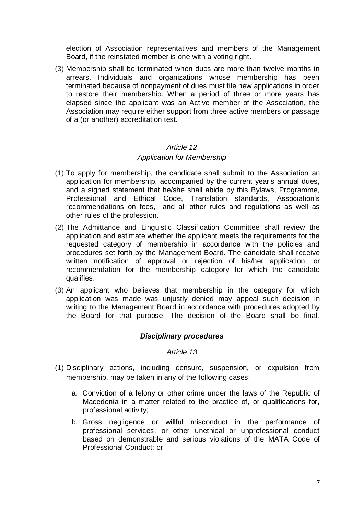election of Association representatives and members of the Management Board, if the reinstated member is one with a voting right.

(3) Membership shall be terminated when dues are more than twelve months in arrears. Individuals and organizations whose membership has been terminated because of nonpayment of dues must file new applications in order to restore their membership. When a period of three or more years has elapsed since the applicant was an Active member of the Association, the Association may require either support from three active members or passage of a (or another) accreditation test.

#### *Article 12*

### *Application for Membership*

- (1) To apply for membership, the candidate shall submit to the Association an application for membership, accompanied by the current year's annual dues, and a signed statement that he/she shall abide by this Bylaws, Programme, Professional and Ethical Code, Translation standards, Association's recommendations on fees, and all other rules and regulations as well as other rules of the profession.
- (2) The Admittance and Linguistic Classification Committee shall review the application and estimate whether the applicant meets the requirements for the requested category of membership in accordance with the policies and procedures set forth by the Management Board. The candidate shall receive written notification of approval or rejection of his/her application, or recommendation for the membership category for which the candidate qualifies.
- (3) An applicant who believes that membership in the category for which application was made was unjustly denied may appeal such decision in writing to the Management Board in accordance with procedures adopted by the Board for that purpose. The decision of the Board shall be final.

### *Disciplinary procedures*

### *Article 13*

- (1) Disciplinary actions, including censure, suspension, or expulsion from membership, may be taken in any of the following cases:
	- a. Conviction of a felony or other crime under the laws of the Republic of Macedonia in a matter related to the practice of, or qualifications for, professional activity;
	- b. Gross negligence or willful misconduct in the performance of professional services, or other unethical or unprofessional conduct based on demonstrable and serious violations of the MATA Code of Professional Conduct; or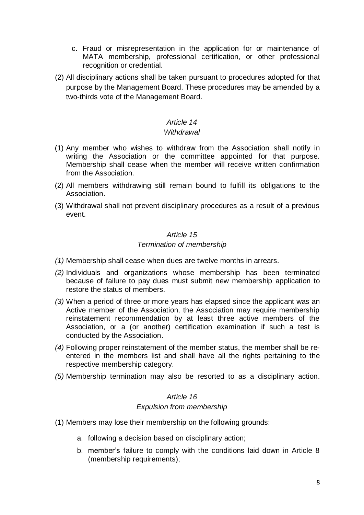- c. Fraud or misrepresentation in the application for or maintenance of MATA membership, professional certification, or other professional recognition or credential.
- (2) All disciplinary actions shall be taken pursuant to procedures adopted for that purpose by the Management Board. These procedures may be amended by a two-thirds vote of the Management Board.

## *Article 14*

### *Withdrawal*

- (1) Any member who wishes to withdraw from the Association shall notify in writing the Association or the committee appointed for that purpose. Membership shall cease when the member will receive written confirmation from the Association.
- (2) All members withdrawing still remain bound to fulfill its obligations to the Association.
- (3) Withdrawal shall not prevent disciplinary procedures as a result of a previous event.

### *Article 15 Termination of membership*

- *(1)* Membership shall cease when dues are twelve months in arrears.
- *(2)* Individuals and organizations whose membership has been terminated because of failure to pay dues must submit new membership application to restore the status of members.
- *(3)* When a period of three or more years has elapsed since the applicant was an Active member of the Association, the Association may require membership reinstatement recommendation by at least three active members of the Association, or a (or another) certification examination if such a test is conducted by the Association.
- *(4)* Following proper reinstatement of the member status, the member shall be reentered in the members list and shall have all the rights pertaining to the respective membership category.
- *(5)* Membership termination may also be resorted to as a disciplinary action.

### *Article 16 Expulsion from membership*

- (1) Members may lose their membership on the following grounds:
	- a. following a decision based on disciplinary action;
	- b. member's failure to comply with the conditions laid down in Article 8 (membership requirements);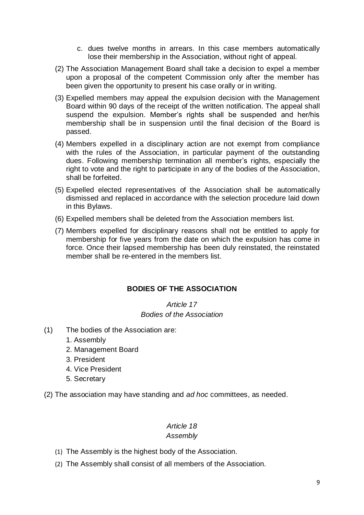- c. dues twelve months in arrears. In this case members automatically lose their membership in the Association, without right of appeal.
- (2) The Association Management Board shall take a decision to expel a member upon a proposal of the competent Commission only after the member has been given the opportunity to present his case orally or in writing.
- (3) Expelled members may appeal the expulsion decision with the Management Board within 90 days of the receipt of the written notification. The appeal shall suspend the expulsion. Member's rights shall be suspended and her/his membership shall be in suspension until the final decision of the Board is passed.
- (4) Members expelled in a disciplinary action are not exempt from compliance with the rules of the Association, in particular payment of the outstanding dues. Following membership termination all member's rights, especially the right to vote and the right to participate in any of the bodies of the Association, shall be forfeited.
- (5) Expelled elected representatives of the Association shall be automatically dismissed and replaced in accordance with the selection procedure laid down in this Bylaws.
- (6) Expelled members shall be deleted from the Association members list.
- (7) Members expelled for disciplinary reasons shall not be entitled to apply for membership for five years from the date on which the expulsion has come in force. Once their lapsed membership has been duly reinstated, the reinstated member shall be re-entered in the members list.

### **BODIES OF THE ASSOCIATION**

### *Article 17 Bodies of the Association*

- (1) The bodies of the Association are:
	- 1. Assembly
	- 2. Management Board
	- 3. President
	- 4. Vice President
	- 5. Secretary

(2) The association may have standing and *ad hoc* committees, as needed.

#### *Article 18 Assembly*

- (1) The Assembly is the highest body of the Association.
- (2) The Assembly shall consist of all members of the Association.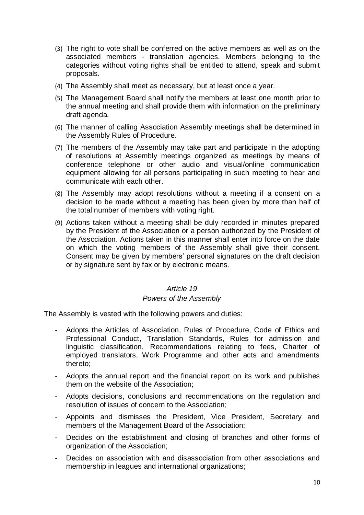- (3) The right to vote shall be conferred on the active members as well as on the associated members - translation agencies. Members belonging to the categories without voting rights shall be entitled to attend, speak and submit proposals.
- (4) The Assembly shall meet as necessary, but at least once a year.
- (5) The Management Board shall notify the members at least one month prior to the annual meeting and shall provide them with information on the preliminary draft agenda.
- (6) The manner of calling Association Assembly meetings shall be determined in the Assembly Rules of Procedure.
- (7) The members of the Assembly may take part and participate in the adopting of resolutions at Assembly meetings organized as meetings by means of conference telephone or other audio and visual/online communication equipment allowing for all persons participating in such meeting to hear and communicate with each other.
- (8) The Assembly may adopt resolutions without a meeting if a consent on a decision to be made without a meeting has been given by more than half of the total number of members with voting right.
- (9) Actions taken without a meeting shall be duly recorded in minutes prepared by the President of the Association or a person authorized by the President of the Association. Actions taken in this manner shall enter into force on the date on which the voting members of the Assembly shall give their consent. Consent may be given by members' personal signatures on the draft decision or by signature sent by fax or by electronic means.

#### *Article 19*

#### *Powers of the Assembly*

The Assembly is vested with the following powers and duties:

- Adopts the Articles of Association, Rules of Procedure, Code of Ethics and Professional Conduct, Translation Standards, Rules for admission and linguistic classification, Recommendations relating to fees, Charter of employed translators, Work Programme and other acts and amendments thereto;
- Adopts the annual report and the financial report on its work and publishes them on the website of the Association;
- Adopts decisions, conclusions and recommendations on the regulation and resolution of issues of concern to the Association;
- Appoints and dismisses the President, Vice President, Secretary and members of the Management Board of the Association;
- Decides on the establishment and closing of branches and other forms of organization of the Association;
- Decides on association with and disassociation from other associations and membership in leagues and international organizations;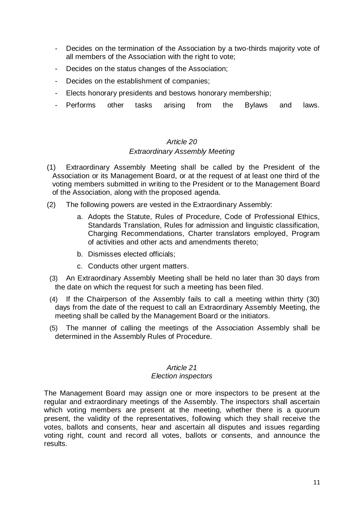- Decides on the termination of the Association by a two-thirds majority vote of all members of the Association with the right to vote;
- Decides on the status changes of the Association;
- Decides on the establishment of companies;
- Elects honorary presidents and bestows honorary membership;
- Performs other tasks arising from the Bylaws and laws.

# *Article 20 Extraordinary Assembly Meeting*

- (1) Extraordinary Assembly Meeting shall be called by the President of the Association or its Management Board, or at the request of at least one third of the voting members submitted in writing to the President or to the Management Board of the Association, along with the proposed agenda.
- (2) The following powers are vested in the Extraordinary Assembly:
	- a. Adopts the Statute, Rules of Procedure, Code of Professional Ethics, Standards Translation, Rules for admission and linguistic classification, Charging Recommendations, Charter translators employed, Program of activities and other acts and amendments thereto;
	- b. Dismisses elected officials;
	- c. Conducts other urgent matters.
- (3) An Extraordinary Assembly Meeting shall be held no later than 30 days from the date on which the request for such a meeting has been filed.
- (4) If the Chairperson of the Assembly fails to call a meeting within thirty (30) days from the date of the request to call an Extraordinary Assembly Meeting, the meeting shall be called by the Management Board or the initiators.
- (5) The manner of calling the meetings of the Association Assembly shall be determined in the Assembly Rules of Procedure.

# *Article 21*

#### *Election inspectors*

The Management Board may assign one or more inspectors to be present at the regular and extraordinary meetings of the Assembly. The inspectors shall ascertain which voting members are present at the meeting, whether there is a quorum present, the validity of the representatives, following which they shall receive the votes, ballots and consents, hear and ascertain all disputes and issues regarding voting right, count and record all votes, ballots or consents, and announce the results.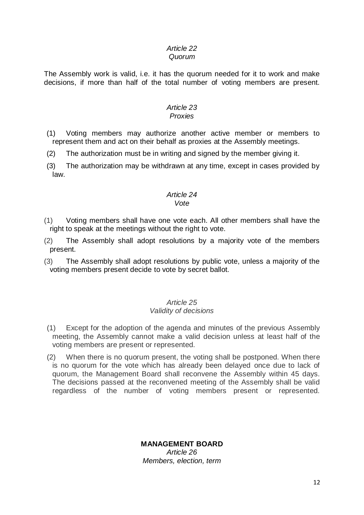#### *Article 22 Quorum*

The Assembly work is valid, i.e. it has the quorum needed for it to work and make decisions, if more than half of the total number of voting members are present.

#### *Article 23 Proxies*

### (1) Voting members may authorize another active member or members to represent them and act on their behalf as proxies at the Assembly meetings.

- (2) The authorization must be in writing and signed by the member giving it.
- (3) The authorization may be withdrawn at any time, except in cases provided by law.

#### *Article 24 Vote*

- (1) Voting members shall have one vote each. All other members shall have the right to speak at the meetings without the right to vote.
- (2) The Assembly shall adopt resolutions by a majority vote of the members present.
- (3) The Assembly shall adopt resolutions by public vote, unless a majority of the voting members present decide to vote by secret ballot.

### *Article 25 Validity of decisions*

- (1) Except for the adoption of the agenda and minutes of the previous Assembly meeting, the Assembly cannot make a valid decision unless at least half of the voting members are present or represented.
- (2) When there is no quorum present, the voting shall be postponed. When there is no quorum for the vote which has already been delayed once due to lack of quorum, the Management Board shall reconvene the Assembly within 45 days. The decisions passed at the reconvened meeting of the Assembly shall be valid regardless of the number of voting members present or represented.

# **MANAGEMENT BOARD**

*Article 26 Members, election, term*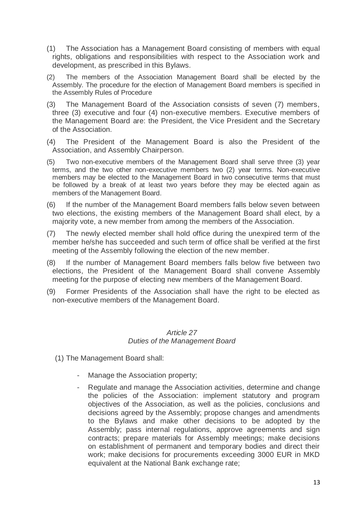- (1) The Association has a Management Board consisting of members with equal rights, obligations and responsibilities with respect to the Association work and development, as prescribed in this Bylaws.
- (2) The members of the Association Management Board shall be elected by the Assembly. The procedure for the election of Management Board members is specified in the Assembly Rules of Procedure
- (3) The Management Board of the Association consists of seven (7) members, three (3) executive and four (4) non-executive members. Executive members of the Management Board are: the President, the Vice President and the Secretary of the Association.
- (4) The President of the Management Board is also the President of the Association, and Assembly Chairperson.
- (5) Two non-executive members of the Management Board shall serve three (3) year terms, and the two other non-executive members two (2) year terms. Non-executive members may be elected to the Management Board in two consecutive terms that must be followed by a break of at least two years before they may be elected again as members of the Management Board.
- (6) If the number of the Management Board members falls below seven between two elections, the existing members of the Management Board shall elect, by a majority vote, a new member from among the members of the Association.
- (7) The newly elected member shall hold office during the unexpired term of the member he/she has succeeded and such term of office shall be verified at the first meeting of the Assembly following the election of the new member.
- (8) If the number of Management Board members falls below five between two elections, the President of the Management Board shall convene Assembly meeting for the purpose of electing new members of the Management Board.
- (9) Former Presidents of the Association shall have the right to be elected as non-executive members of the Management Board.

#### *Article 27 Duties of the Management Board*

- (1) The Management Board shall:
	- Manage the Association property;
	- Regulate and manage the Association activities, determine and change the policies of the Association: implement statutory and program objectives of the Association, as well as the policies, conclusions and decisions agreed by the Assembly; propose changes and amendments to the Bylaws and make other decisions to be adopted by the Assembly; pass internal regulations, approve agreements and sign contracts; prepare materials for Assembly meetings; make decisions on establishment of permanent and temporary bodies and direct their work; make decisions for procurements exceeding 3000 EUR in MKD equivalent at the National Bank exchange rate;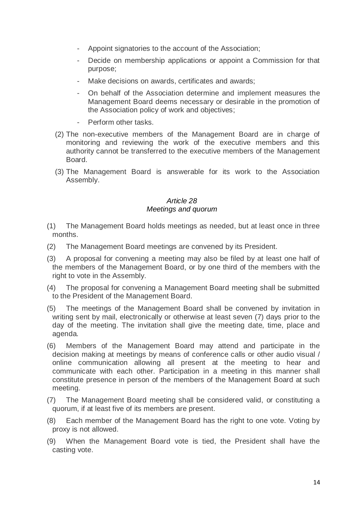- Appoint signatories to the account of the Association;
- Decide on membership applications or appoint a Commission for that purpose;
- Make decisions on awards, certificates and awards;
- On behalf of the Association determine and implement measures the Management Board deems necessary or desirable in the promotion of the Association policy of work and objectives;
- Perform other tasks.
- (2) The non-executive members of the Management Board are in charge of monitoring and reviewing the work of the executive members and this authority cannot be transferred to the executive members of the Management Board.
- (3) The Management Board is answerable for its work to the Association Assembly.

### *Article 28 Meetings and quorum*

- (1) The Management Board holds meetings as needed, but at least once in three months.
- (2) The Management Board meetings are convened by its President.
- (3) A proposal for convening a meeting may also be filed by at least one half of the members of the Management Board, or by one third of the members with the right to vote in the Assembly.
- (4) The proposal for convening a Management Board meeting shall be submitted to the President of the Management Board.
- (5) The meetings of the Management Board shall be convened by invitation in writing sent by mail, electronically or otherwise at least seven (7) days prior to the day of the meeting. The invitation shall give the meeting date, time, place and agenda.
- (6) Members of the Management Board may attend and participate in the decision making at meetings by means of conference calls or other audio visual / online communication allowing all present at the meeting to hear and communicate with each other. Participation in a meeting in this manner shall constitute presence in person of the members of the Management Board at such meeting.
- (7) The Management Board meeting shall be considered valid, or constituting a quorum, if at least five of its members are present.
- (8) Each member of the Management Board has the right to one vote. Voting by proxy is not allowed.
- (9) When the Management Board vote is tied, the President shall have the casting vote.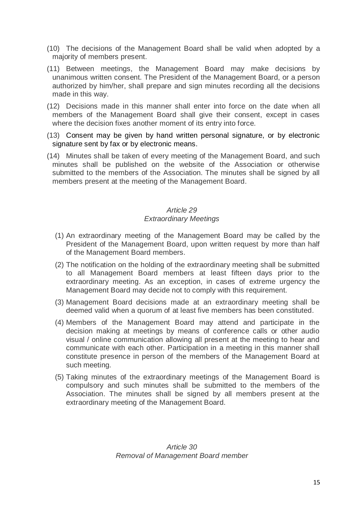- (10) The decisions of the Management Board shall be valid when adopted by a majority of members present.
- (11) Between meetings, the Management Board may make decisions by unanimous written consent. The President of the Management Board, or a person authorized by him/her, shall prepare and sign minutes recording all the decisions made in this way.
- (12) Decisions made in this manner shall enter into force on the date when all members of the Management Board shall give their consent, except in cases where the decision fixes another moment of its entry into force.
- (13) Consent may be given by hand written personal signature, or by electronic signature sent by fax or by electronic means.
- (14) Minutes shall be taken of every meeting of the Management Board, and such minutes shall be published on the website of the Association or otherwise submitted to the members of the Association. The minutes shall be signed by all members present at the meeting of the Management Board.

### *Article 29 Extraordinary Meetings*

- (1) An extraordinary meeting of the Management Board may be called by the President of the Management Board, upon written request by more than half of the Management Board members.
- (2) The notification on the holding of the extraordinary meeting shall be submitted to all Management Board members at least fifteen days prior to the extraordinary meeting. As an exception, in cases of extreme urgency the Management Board may decide not to comply with this requirement.
- (3) Management Board decisions made at an extraordinary meeting shall be deemed valid when a quorum of at least five members has been constituted.
- (4) Members of the Management Board may attend and participate in the decision making at meetings by means of conference calls or other audio visual / online communication allowing all present at the meeting to hear and communicate with each other. Participation in a meeting in this manner shall constitute presence in person of the members of the Management Board at such meeting.
- (5) Taking minutes of the extraordinary meetings of the Management Board is compulsory and such minutes shall be submitted to the members of the Association. The minutes shall be signed by all members present at the extraordinary meeting of the Management Board.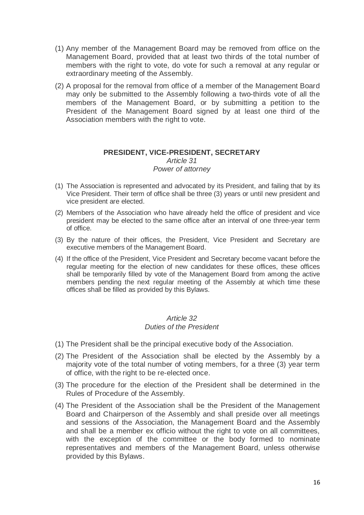- (1) Any member of the Management Board may be removed from office on the Management Board, provided that at least two thirds of the total number of members with the right to vote, do vote for such a removal at any regular or extraordinary meeting of the Assembly.
- (2) A proposal for the removal from office of a member of the Management Board may only be submitted to the Assembly following a two-thirds vote of all the members of the Management Board, or by submitting a petition to the President of the Management Board signed by at least one third of the Association members with the right to vote.

#### **PRESIDENT, VICE-PRESIDENT, SECRETARY** *Article 31 Power of attorney*

- (1) The Association is represented and advocated by its President, and failing that by its Vice President. Their term of office shall be three (3) years or until new president and vice president are elected.
- (2) Members of the Association who have already held the office of president and vice president may be elected to the same office after an interval of one three-year term of office.
- (3) By the nature of their offices, the President, Vice President and Secretary are executive members of the Management Board.
- (4) If the office of the President, Vice President and Secretary become vacant before the regular meeting for the election of new candidates for these offices, these offices shall be temporarily filled by vote of the Management Board from among the active members pending the next regular meeting of the Assembly at which time these offices shall be filled as provided by this Bylaws.

#### *Article 32 Duties of the President*

- (1) The President shall be the principal executive body of the Association.
- (2) The President of the Association shall be elected by the Assembly by a majority vote of the total number of voting members, for a three (3) year term of office, with the right to be re-elected once.
- (3) The procedure for the election of the President shall be determined in the Rules of Procedure of the Assembly.
- (4) The President of the Association shall be the President of the Management Board and Chairperson of the Assembly and shall preside over all meetings and sessions of the Association, the Management Board and the Assembly and shall be a member ex officio without the right to vote on all committees, with the exception of the committee or the body formed to nominate representatives and members of the Management Board, unless otherwise provided by this Bylaws.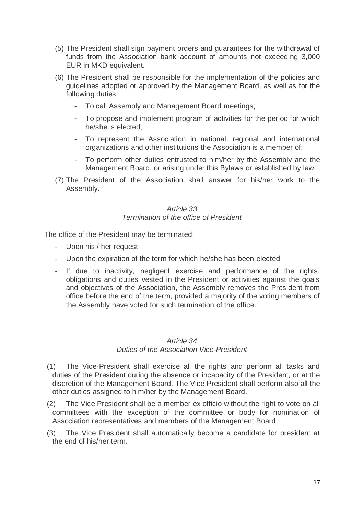- (5) The President shall sign payment orders and guarantees for the withdrawal of funds from the Association bank account of amounts not exceeding 3,000 EUR in MKD equivalent.
- (6) The President shall be responsible for the implementation of the policies and guidelines adopted or approved by the Management Board, as well as for the following duties:
	- To call Assembly and Management Board meetings;
	- To propose and implement program of activities for the period for which he/she is elected;
	- To represent the Association in national, regional and international organizations and other institutions the Association is a member of;
	- To perform other duties entrusted to him/her by the Assembly and the Management Board, or arising under this Bylaws or established by law.
- (7) The President of the Association shall answer for his/her work to the Assembly.

#### *Article 33 Termination of the office of President*

The office of the President may be terminated:

- Upon his / her request;
- Upon the expiration of the term for which he/she has been elected;
- If due to inactivity, negligent exercise and performance of the rights, obligations and duties vested in the President or activities against the goals and objectives of the Association, the Assembly removes the President from office before the end of the term, provided a majority of the voting members of the Assembly have voted for such termination of the office.

#### *Article 34*

#### *Duties of the Association Vice-President*

- (1) The Vice-President shall exercise all the rights and perform all tasks and duties of the President during the absence or incapacity of the President, or at the discretion of the Management Board. The Vice President shall perform also all the other duties assigned to him/her by the Management Board.
- (2) The Vice President shall be a member ex officio without the right to vote on all committees with the exception of the committee or body for nomination of Association representatives and members of the Management Board.
- (3) The Vice President shall automatically become a candidate for president at the end of his/her term.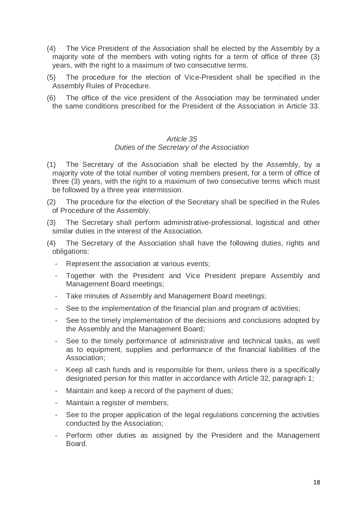- (4) The Vice President of the Association shall be elected by the Assembly by a majority vote of the members with voting rights for a term of office of three (3) years, with the right to a maximum of two consecutive terms.
- (5) The procedure for the election of Vice-President shall be specified in the Assembly Rules of Procedure.
- (6) The office of the vice president of the Association may be terminated under the same conditions prescribed for the President of the Association in Article 33.

#### *Article 35*

#### *Duties of the Secretary of the Association*

- (1) The Secretary of the Association shall be elected by the Assembly, by a majority vote of the total number of voting members present, for a term of office of three (3) years, with the right to a maximum of two consecutive terms which must be followed by a three year intermission.
- (2) The procedure for the election of the Secretary shall be specified in the Rules of Procedure of the Assembly.
- (3) The Secretary shall perform administrative-professional, logistical and other similar duties in the interest of the Association.
- (4) The Secretary of the Association shall have the following duties, rights and obligations:
	- Represent the association at various events;
	- Together with the President and Vice President prepare Assembly and Management Board meetings;
	- Take minutes of Assembly and Management Board meetings;
	- See to the implementation of the financial plan and program of activities;
	- See to the timely implementation of the decisions and conclusions adopted by the Assembly and the Management Board;
	- See to the timely performance of administrative and technical tasks, as well as to equipment, supplies and performance of the financial liabilities of the Association;
	- Keep all cash funds and is responsible for them, unless there is a specifically designated person for this matter in accordance with Article 32, paragraph 1;
	- Maintain and keep a record of the payment of dues;
	- Maintain a register of members;
	- See to the proper application of the legal regulations concerning the activities conducted by the Association;
	- Perform other duties as assigned by the President and the Management Board.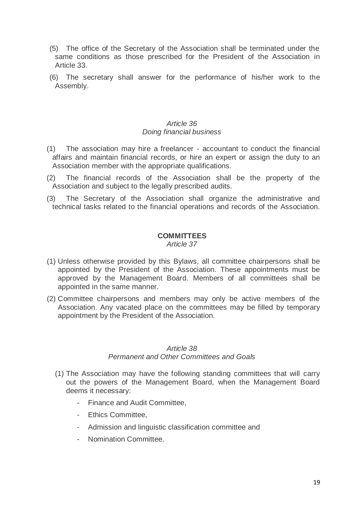- (5) The office of the Secretary of the Association shall be terminated under the same conditions as those prescribed for the President of the Association in Article 33.
- (6) The secretary shall answer for the performance of his/her work to the Assembly.

### *Article 36 Doing financial business*

- (1) The association may hire a freelancer accountant to conduct the financial affairs and maintain financial records, or hire an expert or assign the duty to an Association member with the appropriate qualifications.
- (2) The financial records of the Association shall be the property of the Association and subject to the legally prescribed audits.
- (3) The Secretary of the Association shall organize the administrative and technical tasks related to the financial operations and records of the Association.

### **COMMITTEES**

*Article 37*

- (1) Unless otherwise provided by this Bylaws, all committee chairpersons shall be appointed by the President of the Association. These appointments must be approved by the Management Board. Members of all committees shall be appointed in the same manner.
- (2) Committee chairpersons and members may only be active members of the Association. Any vacated place on the committees may be filled by temporary appointment by the President of the Association.

### *Article 38 Permanent and Other Committees and Goals*

- (1) The Association may have the following standing committees that will carry out the powers of the Management Board, when the Management Board deems it necessary:
	- Finance and Audit Committee,
	- Ethics Committee,
	- Admission and linguistic classification committee and
	- Nomination Committee.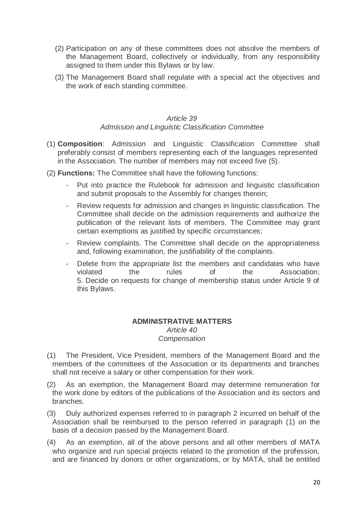- (2) Participation on any of these committees does not absolve the members of the Management Board, collectively or individually, from any responsibility assigned to them under this Bylaws or by law.
- (3) The Management Board shall regulate with a special act the objectives and the work of each standing committee.

### *Article 39 Admission and Linguistic Classification Committee*

- (1) **Composition**: Admission and Linguistic Classification Committee shall preferably consist of members representing each of the languages represented in the Association. The number of members may not exceed five (5).
- (2) **Functions:** The Committee shall have the following functions:
	- Put into practice the Rulebook for admission and linguistic classification and submit proposals to the Assembly for changes therein;
	- Review requests for admission and changes in linguistic classification. The Committee shall decide on the admission requirements and authorize the publication of the relevant lists of members. The Committee may grant certain exemptions as justified by specific circumstances;
	- Review complaints. The Committee shall decide on the appropriateness and, following examination, the justifiability of the complaints.
	- Delete from the appropriate list the members and candidates who have violated the rules of the Association; 5. Decide on requests for change of membership status under Article 9 of this Bylaws.

### **ADMINISTRATIVE MATTERS** *Article 40 Compensation*

- (1) The President, Vice President, members of the Management Board and the members of the committees of the Association or its departments and branches shall not receive a salary or other compensation for their work.
- (2) As an exemption, the Management Board may determine remuneration for the work done by editors of the publications of the Association and its sectors and branches.
- (3) Duly authorized expenses referred to in paragraph 2 incurred on behalf of the Association shall be reimbursed to the person referred in paragraph (1) on the basis of a decision passed by the Management Board.
- (4) As an exemption, all of the above persons and all other members of MATA who organize and run special projects related to the promotion of the profession, and are financed by donors or other organizations, or by MATA, shall be entitled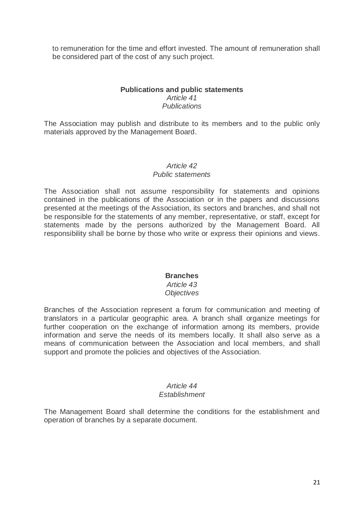to remuneration for the time and effort invested. The amount of remuneration shall be considered part of the cost of any such project.

### **Publications and public statements** *Article 41 Publications*

The Association may publish and distribute to its members and to the public only materials approved by the Management Board.

#### *Article 42*

#### *Public statements*

The Association shall not assume responsibility for statements and opinions contained in the publications of the Association or in the papers and discussions presented at the meetings of the Association, its sectors and branches, and shall not be responsible for the statements of any member, representative, or staff, except for statements made by the persons authorized by the Management Board. All responsibility shall be borne by those who write or express their opinions and views.

#### **Branches**

#### *Article 43 Objectives*

Branches of the Association represent a forum for communication and meeting of translators in a particular geographic area. A branch shall organize meetings for further cooperation on the exchange of information among its members, provide information and serve the needs of its members locally. It shall also serve as a means of communication between the Association and local members, and shall support and promote the policies and objectives of the Association.

# *Article 44*

### *Establishment*

The Management Board shall determine the conditions for the establishment and operation of branches by a separate document.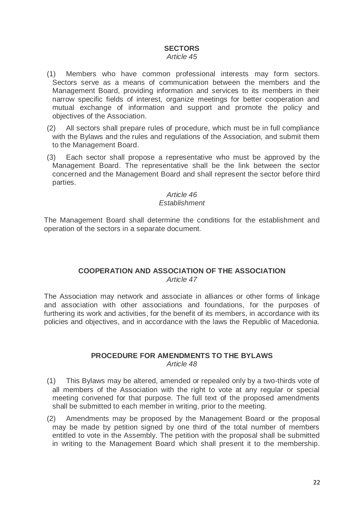### **SECTORS**

#### *Article 45*

- (1) Members who have common professional interests may form sectors. Sectors serve as a means of communication between the members and the Management Board, providing information and services to its members in their narrow specific fields of interest, organize meetings for better cooperation and mutual exchange of information and support and promote the policy and objectives of the Association.
- (2) All sectors shall prepare rules of procedure, which must be in full compliance with the Bylaws and the rules and regulations of the Association, and submit them to the Management Board.
- (3) Each sector shall propose a representative who must be approved by the Management Board. The representative shall be the link between the sector concerned and the Management Board and shall represent the sector before third parties.

#### *Article 46 Establishment*

The Management Board shall determine the conditions for the establishment and operation of the sectors in a separate document.

### **COOPERATION AND ASSOCIATION OF THE ASSOCIATION** *Article 47*

The Association may network and associate in alliances or other forms of linkage and association with other associations and foundations, for the purposes of furthering its work and activities, for the benefit of its members, in accordance with its policies and objectives, and in accordance with the laws the Republic of Macedonia.

#### **PROCEDURE FOR AMENDMENTS TO THE BYLAWS** *Article 48*

- (1) This Bylaws may be altered, amended or repealed only by a two-thirds vote of all members of the Association with the right to vote at any regular or special meeting convened for that purpose. The full text of the proposed amendments shall be submitted to each member in writing, prior to the meeting.
- (2) Amendments may be proposed by the Management Board or the proposal may be made by petition signed by one third of the total number of members entitled to vote in the Assembly. The petition with the proposal shall be submitted in writing to the Management Board which shall present it to the membership.